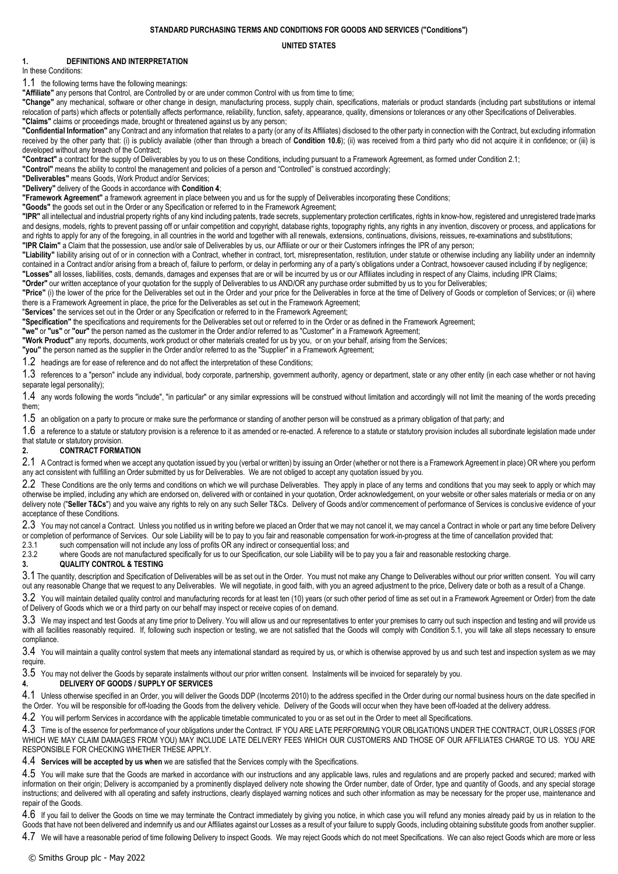### **STANDARD PURCHASING TERMS AND CONDITIONS FOR GOODS AND SERVICES ("Conditions")**

**UNITED STATES**

## **1. DEFINITIONS AND INTERPRETATION**

#### In these Conditions:

1.1 the following terms have the following meanings:

**"Affiliate"** any persons that Control, are Controlled by or are under common Control with us from time to time;

**"Change"** any mechanical, software or other change in design, manufacturing process, supply chain, specifications, materials or product standards (including part substitutions or internal relocation of parts) which affects or potentially affects performance, reliability, function, safety, appearance, quality, dimensions or tolerances or any other Specifications of Deliverables. **"Claims"** claims or proceedings made, brought or threatened against us by any person;

**"Confidential Information"** any Contract and any information that relates to a party (or any of its Affiliates) disclosed to the other party in connection with the Contract, but excluding information received by the other party that: (i) is publicly available (other than through a breach of **Conditio[n 10.6](#page-2-0)**); (ii) was received from a third party who did not acquire it in confidence; or (iii) is developed without any breach of the Contract;

**"Contract"** a contract for the supply of Deliverables by you to us on these Conditions, including pursuant to a Framework Agreement, as formed under Conditio[n 2.1;](#page-0-0)

**"Control"** means the ability to control the management and policies of a person and "Controlled" is construed accordingly;

**"Deliverables"** means Goods, Work Product and/or Services;

**"Delivery"** delivery of the Goods in accordance with **Condition [4](#page-0-1)**;

**"Framework Agreement"** a framework agreement in place between you and us for the supply of Deliverables incorporating these Conditions;

**"Goods"** the goods set out in the Order or any Specification or referred to in the Framework Agreement;

**"IPR"** all intellectual and industrial property rights of any kind including patents, trade secrets, supplementary protection certificates, rights in know-how, registered and unregistered trade marks and designs, models, rights to prevent passing off or unfair competition and copyright, database rights, topography rights, any rights in any invention, discovery or process, and applications for and rights to apply for any of the foregoing, in all countries in the world and together with all renewals, extensions, continuations, divisions, reissues, re-examinations and substitutions; **"IPR Claim"** a Claim that the possession, use and/or sale of Deliverables by us, our Affiliate or our or their Customers infringes the IPR of any person;

**"Liability"** liability arising out of or in connection with a Contract, whether in contract, tort, misrepresentation, restitution, under statute or otherwise including any liability under an indemnity contained in a Contract and/or arising from a breach of, failure to perform, or delay in performing any of a party's obligations under a Contract, howsoever caused including if by negligence; **"Losses"** all losses, liabilities, costs, demands, damages and expenses that are or will be incurred by us or our Affiliates including in respect of any Claims, including IPR Claims;

**"Order"** our written acceptance of your quotation for the supply of Deliverables to us AND/OR any purchase order submitted by us to you for Deliverables;

**"Price"** (i) the lower of the price for the Deliverables set out in the Order and your price for the Deliverables in force at the time of Delivery of Goods or completion of Services; or (ii) where there is a Framework Agreement in place, the price for the Deliverables as set out in the Framework Agreement;

"**Services**" the services set out in the Order or any Specification or referred to in the Framework Agreement;

**"Specification"** the specifications and requirements for the Deliverables set out or referred to in the Order or as defined in the Framework Agreement;

**"we"** or **"us"** or **"our"** the person named as the customer in the Order and/or referred to as "Customer" in a Framework Agreement;

**"Work Product"** any reports, documents, work product or other materials created for us by you, or on your behalf, arising from the Services;

**"you"** the person named as the supplier in the Order and/or referred to as the "Supplier" in a Framework Agreement;

1.2 headings are for ease of reference and do not affect the interpretation of these Conditions;

1.3 references to a "person" include any individual, body corporate, partnership, government authority, agency or department, state or any other entity (in each case whether or not having separate legal personality);

1.4 any words following the words "include", "in particular" or any similar expressions will be construed without limitation and accordingly will not limit the meaning of the words preceding them;

1.5 an obligation on a party to procure or make sure the performance or standing of another person will be construed as a primary obligation of that party; and

1.6 a reference to a statute or statutory provision is a reference to it as amended or re-enacted. A reference to a statute or statutory provision includes all subordinate legislation made under that statute or statutory provision.

### **2. CONTRACT FORMATION**

<span id="page-0-0"></span>2.1 A Contract is formed when we accept any quotation issued by you (verbal or written) by issuing an Order (whether or not there is a Framework Agreement in place) OR where you perform any act consistent with fulfilling an Order submitted by us for Deliverables. We are not obliged to accept any quotation issued by you.

2.2 These Conditions are the only terms and conditions on which we will purchase Deliverables. They apply in place of any terms and conditions that you may seek to apply or which may otherwise be implied, including any which are endorsed on, delivered with or contained in your quotation, Order acknowledgement, on your website or other sales materials or media or on any delivery note ("Seller T&Cs") and you waive any rights to rely on any such Seller T&Cs. Delivery of Goods and/or commencement of performance of Services is conclusive evidence of your acceptance of these Conditions.

2.3 You may not cancel a Contract. Unless you notified us in writing before we placed an Order that we may not cancel it, we may cancel a Contract in whole or part any time before Delivery or completion of performance of Services. Our sole Liability will be to pay to you fair and reasonable compensation for work-in-progress at the time of cancellation provided that:

2.3.1 such compensation will not include any loss of profits OR any indirect or consequential loss; and<br>2.3.2 where Goods are not manufactured specifically for us to our Specification our sole Liability will b

where Goods are not manufactured specifically for us to our Specification, our sole Liability will be to pay you a fair and reasonable restocking charge.

### **3. QUALITY CONTROL & TESTING**

3.1 The quantity, description and Specification of Deliverables will be as set out in the Order. You must not make any Change to Deliverables without our prior written consent. You will carry out any reasonable Change that we request to any Deliverables. We will negotiate, in good faith, with you an agreed adjustment to the price, Delivery date or both as a result of a Change.

3.2 You will maintain detailed quality control and manufacturing records for at least ten (10) years (or such other period of time as set out in a Framework Agreement or Order) from the date of Delivery of Goods which we or a third party on our behalf may inspect or receive copies of on demand.

3.3 We may inspect and test Goods at any time prior to Delivery. You will allow us and our representatives to enter your premises to carry out such inspection and testing and will provide us with all facilities reasonably required. If, following such inspection or testing, we are not satisfied that the Goods will comply with Condition [5.1,](#page-1-0) you will take all steps necessary to ensure compliance.

3.4 You will maintain a quality control system that meets any international standard as required by us, or which is otherwise approved by us and such test and inspection system as we may require.

 $3.5$  You may not deliver the Goods by separate instalments without our prior written consent. Instalments will be invoiced for separately by you.

### <span id="page-0-1"></span>**4. DELIVERY OF GOODS / SUPPLY OF SERVICES**

4.1 Unless otherwise specified in an Order, you will deliver the Goods DDP (Incoterms 2010) to the address specified in the Order during our normal business hours on the date specified in the Order. You will be responsible for off-loading the Goods from the delivery vehicle. Delivery of the Goods will occur when they have been off-loaded at the delivery address.

4.2 You will perform Services in accordance with the applicable timetable communicated to you or as set out in the Order to meet all Specifications.

4.3 Time is of the essence for performance of your obligations under the Contract. IF YOU ARE LATE PERFORMING YOUR OBLIGATIONS UNDER THE CONTRACT, OUR LOSSES (FOR WHICH WE MAY CLAIM DAMAGES FROM YOU) MAY INCLUDE LATE DELIVERY FEES WHICH OUR CUSTOMERS AND THOSE OF OUR AFFILIATES CHARGE TO US. YOU ARE RESPONSIBLE FOR CHECKING WHETHER THESE APPLY.

4.4 **Services will be accepted by us when** we are satisfied that the Services comply with the Specifications.

4.5 You will make sure that the Goods are marked in accordance with our instructions and any applicable laws, rules and regulations and are properly packed and secured; marked with information on their origin; Delivery is accompanied by a prominently displayed delivery note showing the Order number, date of Order, type and quantity of Goods, and any special storage instructions; and delivered with all operating and safety instructions, clearly displayed warning notices and such other information as may be necessary for the proper use, maintenance and repair of the Goods.

4.6 If you fail to deliver the Goods on time we may terminate the Contract immediately by giving you notice, in which case you will refund any monies already paid by us in relation to the Goods that have not been delivered and indemnify us and our Affiliates against our Losses as a result of your failure to supply Goods, including obtaining substitute goods from another supplier.

4.7 We will have a reasonable period of time following Delivery to inspect Goods. We may reject Goods which do not meet Specifications. We can also reject Goods which are more or less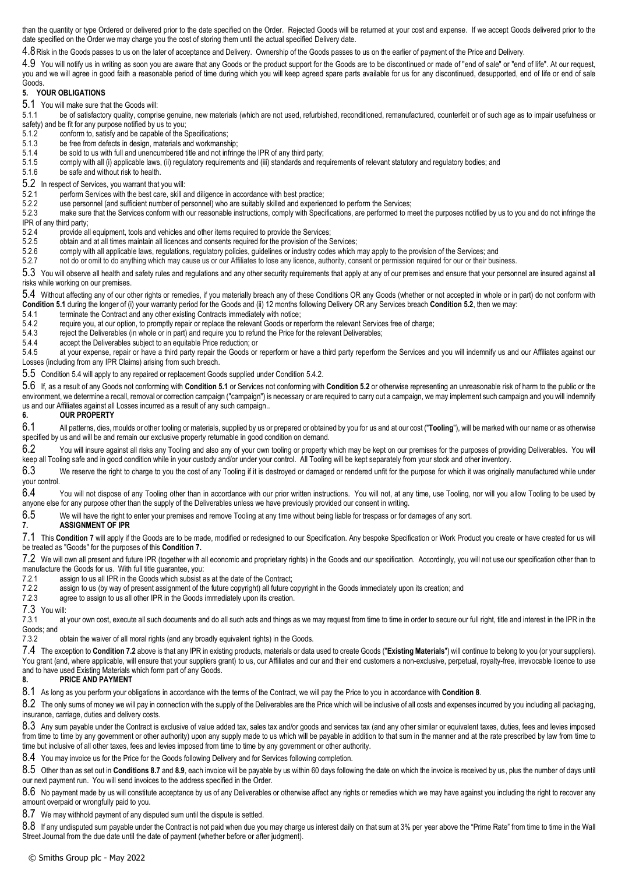than the quantity or type Ordered or delivered prior to the date specified on the Order. Rejected Goods will be returned at your cost and expense. If we accept Goods delivered prior to the date specified on the Order we may charge you the cost of storing them until the actual specified Delivery date.

4.8Risk in the Goods passes to us on the later of acceptance and Delivery. Ownership of the Goods passes to us on the earlier of payment of the Price and Delivery.

4.9 You will notify us in writing as soon you are aware that any Goods or the product support for the Goods are to be discontinued or made of "end of sale" or "end of life". At our request, you and we will agree in good faith a reasonable period of time during which you will keep agreed spare parts available for us for any discontinued, desupported, end of life or end of sale Goods.

## **5. YOUR OBLIGATIONS**

<span id="page-1-0"></span>5.1 You will make sure that the Goods will:

5.1.1 be of satisfactory quality, comprise genuine, new materials (which are not used, refurbished, reconditioned, remanufactured, counterfeit or of such age as to impair usefulness or safety) and be fit for any purpose notified by us to you;

- 5.1.2 conform to, satisfy and be capable of the Specifications;<br>5.1.3 be free from defects in design, materials and workmans
- 5.1.3 be free from defects in design, materials and workmanship;<br>5.1.4 be sold to us with full and unencumbered title and not infring
- be sold to us with full and unencumbered title and not infringe the IPR of any third party;
- 5.1.5 comply with all (i) applicable laws, (ii) regulatory requirements and (iii) standards and requirements of relevant statutory and regulatory bodies; and
- 5.1.6 be safe and without risk to health.

<span id="page-1-1"></span>5.2 In respect of Services, you warrant that you will:

- 5.2.1 perform Services with the best care, skill and diligence in accordance with best practice;<br>5.2.2 use personnel (and sufficient number of personnel) who are suitably skilled and experier
- 5.2.2 use personnel (and sufficient number of personnel) who are suitably skilled and experienced to perform the Services;<br>5.2.3 make sure that the Services conform with our reasonable instructions, comply with Specificati
- make sure that the Services conform with our reasonable instructions, comply with Specifications, are performed to meet the purposes notified by us to you and do not infringe the IPR of any third party;

- 5.2.4 provide all equipment, tools and vehicles and other items required to provide the Services;<br>5.2.5 obtain and at all times maintain all licences and consents required for the provision of the S
- obtain and at all times maintain all licences and consents required for the provision of the Services;
- 5.2.6 comply with all applicable laws, regulations, regulatory policies, guidelines or industry codes which may apply to the provision of the Services; and
- 5.2.7 not do or omit to do anything which may cause us or our Affiliates to lose any licence, authority, consent or permission required for our or their business.

5.3 You will observe all health and safety rules and regulations and any other security requirements that apply at any of our premises and ensure that your personnel are insured against all risks while working on our premises.

<span id="page-1-2"></span>5.4 Without affecting any of our other rights or remedies, if you materially breach any of these Conditions OR any Goods (whether or not accepted in whole or in part) do not conform with **Conditio[n 5.1](#page-1-0)** during the longer of (i) your warranty period for the Goods and (ii) 12 months following Delivery OR any Services breach **Conditio[n 5.2](#page-1-1)**, then we may:

- 5.4.1 terminate the Contract and any other existing Contracts immediately with notice;<br>5.4.2 require you, at our option, to promptly repair or replace the relevant Goods or rer
- <span id="page-1-3"></span>5.4.2 require you, at our option, to promptly repair or replace the relevant Goods or reperform the relevant Services free of charge;<br>5.4.3 reject the Deliverables (in whole or in part) and require you to refund the Price

reject the Deliverables (in whole or in part) and require you to refund the Price for the relevant Deliverables;

5.4.4 accept the Deliverables subject to an equitable Price reduction; or 5.4.5 at your expense, repair or have a third party repair the Goods or

at your expense, repair or have a third party repair the Goods or reperform or have a third party reperform the Services and you will indemnify us and our Affiliates against our Losses (including from any IPR Claims) arising from such breach.

5.5 Conditio[n 5.4](#page-1-2) will apply to any repaired or replacement Goods supplied under Conditio[n 5.4.2.](#page-1-3)

5.6 If, as a result of any Goods not conforming with **Conditio[n 5.1](#page-1-0)** or Services not conforming with **Conditio[n 5.2](#page-1-1)** or otherwise representing an unreasonable risk of harm to the public or the environment, we determine a recall, removal or correction campaign ("campaign") is necessary or are required to carry out a campaign, we may implement such campaign and you will indemnify us and our Affiliates against all Losses incurred as a result of any such campaign..

#### **6. OUR PROPERTY**

6.1 All patterns, dies, moulds or other tooling or materials, supplied by us or prepared or obtained by you for us and at our cost ("**Tooling**"), will be marked with our name or as otherwise specified by us and will be and remain our exclusive property returnable in good condition on demand.

6.2 You will insure against all risks any Tooling and also any of your own tooling or property which may be kept on our premises for the purposes of providing Deliverables. You will keep all Tooling safe and in good condition while in your custody and/or under your control. All Tooling will be kept separately from your stock and other inventory

6.3 We reserve the right to charge to you the cost of any Tooling if it is destroyed or damaged or rendered unfit for the purpose for which it was originally manufactured while under your control.

6.4 You will not dispose of any Tooling other than in accordance with our prior written instructions. You will not, at any time, use Tooling, nor will you allow Tooling to be used by anyone else for any purpose other than the supply of the Deliverables unless we have previously provided our consent in writing.

6.5 We will have the right to enter your premises and remove Tooling at any time without being liable for trespass or for damages of any sort.

### <span id="page-1-4"></span>**7. ASSIGNMENT OF IPR**

7.1 This **Conditio[n 7](#page-1-4)** will apply if the Goods are to be made, modified or redesigned to our Specification. Any bespoke Specification or Work Product you create or have created for us will be treated as "Goods" for the purposes of this **Conditio[n 7.](#page-1-4)**

<span id="page-1-5"></span>7.2 We will own all present and future IPR (together with all economic and proprietary rights) in the Goods and our specification. Accordingly, you will not use our specification other than to manufacture the Goods for us. With full title guarantee, you:

7.2.1 assign to us all IPR in the Goods which subsist as at the date of the Contract;<br>7.2.2 assign to us (by way of present assignment of the future copyright) all future c

7.2.2 assign to us (by way of present assignment of the future copyright) all future copyright in the Goods immediately upon its creation; and 7.2.3 agree to assign to us all other IPR in the Goods immediately upon its cre

agree to assign to us all other IPR in the Goods immediately upon its creation.

7.3 You will<br>7.3.1 at

at your own cost, execute all such documents and do all such acts and things as we may request from time to time in order to secure our full right, title and interest in the IPR in the Goods; and

7.3.2 obtain the waiver of all moral rights (and any broadly equivalent rights) in the Goods.

7.4 The exception to **Conditio[n 7.2](#page-1-5)** above is that any IPR in existing products, materials or data used to create Goods ("**Existing Materials**") will continue to belong to you (or your suppliers). You grant (and, where applicable, will ensure that your suppliers grant) to us, our Affiliates and our and their end customers a non-exclusive, perpetual, royalty-free, irrevocable licence to use and to have used Existing Materials which form part of any Goods.

## <span id="page-1-6"></span>**8. PRICE AND PAYMENT**

8.1 As long as you perform your obligations in accordance with the terms of the Contract, we will pay the Price to you in accordance with **Conditio[n 8](#page-1-6)**.

8.2 The only sums of money we will pay in connection with the supply of the Deliverables are the Price which will be inclusive of all costs and expenses incurred by you including all packaging, insurance, carriage, duties and delivery costs.

8.3 Any sum payable under the Contract is exclusive of value added tax, sales tax and/or goods and services tax (and any other similar or equivalent taxes, duties, fees and levies imposed from time to time by any government or other authority) upon any supply made to us which will be payable in addition to that sum in the manner and at the rate prescribed by law from time to time but inclusive of all other taxes, fees and levies imposed from time to time by any government or other authority.

8.4 You may invoice us for the Price for the Goods following Delivery and for Services following completion.

8.5 Other than as set out in **Condition[s 8.7](#page-1-7)** and **[8.9](#page-2-1)**, each invoice will be payable by us within 60 days following the date on which the invoice is received by us, plus the number of days until our next payment run. You will send invoices to the address specified in the Order.

8.6 No payment made by us will constitute acceptance by us of any Deliverables or otherwise affect any rights or remedies which we may have against you including the right to recover any amount overpaid or wrongfully paid to you.

<span id="page-1-7"></span>8.7 We may withhold payment of any disputed sum until the dispute is settled.

8.8 If any undisputed sum payable under the Contract is not paid when due you may charge us interest daily on that sum at 3% per year above the "Prime Rate" from time to time in the Wall Street Journal from the due date until the date of payment (whether before or after judgment).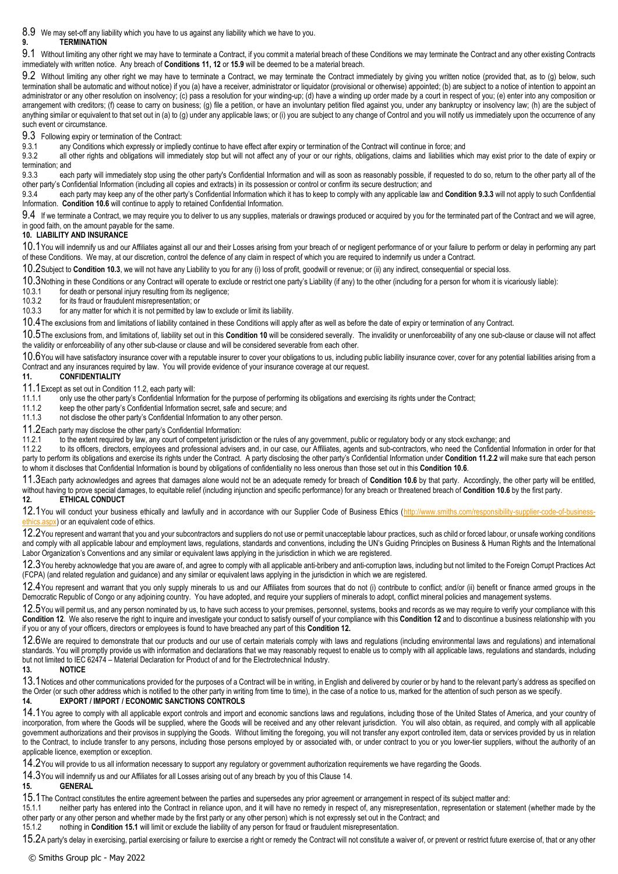<span id="page-2-1"></span>8.9 We may set-off any liability which you have to us against any liability which we have to you.

# **9. TERMINATION**

9.1 Without limiting any other right we may have to terminate a Contract, if you commit a material breach of these Conditions we may terminate the Contract and any other existing Contracts immediately with written notice. Any breach of **Conditions 11, 12** or **[15.9](#page-3-0)** will be deemed to be a material breach.

9.2 Without limiting any other right we may have to terminate a Contract, we may terminate the Contract immediately by giving you written notice (provided that, as to (g) below, such termination shall be automatic and without notice) if you (a) have a receiver, administrator or liquidator (provisional or otherwise) appointed; (b) are subject to a notice of intention to appoint an administrator or any other resolution on insolvency; (c) pass a resolution for your winding-up; (d) have a winding up order made by a court in respect of you; (e) enter into any composition or arrangement with creditors; (f) cease to carry on business; (g) file a petition, or have an involuntary petition filed against you, under any bankruptcy or insolvency law; (h) are the subject of anything similar or equivalent to that set out in (a) to (g) under any applicable laws; or (i) you are subject to any change of Control and you will notify us immediately upon the occurrence of any such event or circumstance.

9.3 Following expiry or termination of the Contract:<br>9.3.1 any Conditions which expressly or implier

any Conditions which expressly or impliedly continue to have effect after expiry or termination of the Contract will continue in force; and

9.3.2 all other rights and obligations will immediately stop but will not affect any of your or our rights, obligations, claims and liabilities which may exist prior to the date of expiry or termination; and<br>9.3.3 eacl

<span id="page-2-2"></span>each party will immediately stop using the other party's Confidential Information and will as soon as reasonably possible, if requested to do so, return to the other party all of the other party's Confidential Information (including all copies and extracts) in its possession or control or confirm its secure destruction; and

9.3.4 each party may keep any of the other party's Confidential Information which it has to keep to comply with any applicable law and **Condition [9.3.3](#page-2-2)** will not apply to such Confidential Information. **Conditio[n 10.6](#page-2-0)** will continue to apply to retained Confidential Information.

9.4 If we terminate a Contract, we may require you to deliver to us any supplies, materials or drawings produced or acquired by you for the terminated part of the Contract and we will agree, in good faith, on the amount payable for the same.

## <span id="page-2-4"></span>**10. LIABILITY AND INSURANCE**

10.1You will indemnify us and our Affiliates against all our and their Losses arising from your breach of or negligent performance of or your failure to perform or delay in performing any part of these Conditions. We may, at our discretion, control the defence of any claim in respect of which you are required to indemnify us under a Contract.

10.2Subject to **Conditio[n 10.3](#page-2-3)**, we will not have any Liability to you for any (i) loss of profit, goodwill or revenue; or (ii) any indirect, consequential or special loss.

<span id="page-2-3"></span>10.3Nothing in these Conditions or any Contract will operate to exclude or restrict one party's Liability (if any) to the other (including for a person for whom it is vicariously liable):<br>10.3.1 for death or personal iniur

10.3.1 for death or personal injury resulting from its negligence;<br>10.3.2 for its fraud or fraudulent misrepresentation: or

for its fraud or fraudulent misrepresentation; or

10.3.3 for any matter for which it is not permitted by law to exclude or limit its liability.

10.4 The exclusions from and limitations of liability contained in these Conditions will apply after as well as before the date of expiry or termination of any Contract.

10.5The exclusions from, and limitations of, liability set out in this **Condition [10](#page-2-4)** will be considered severally. The invalidity or unenforceability of any one sub-clause or clause will not affect the validity or enforceability of any other sub-clause or clause and will be considered severable from each other.

<span id="page-2-0"></span>10.6You will have satisfactory insurance cover with a reputable insurer to cover your obligations to us, including public liability insurance cover, cover for any potential liabilities arising from a Contract and any insurances required by law. You will provide evidence of your insurance coverage at our request.<br>11. CONFIDENTIALITY

## **11. CONFIDENTIALITY**

11.1Except as set out in Conditio[n 11.2,](#page-2-5) each party will:<br>11.1.1 only use the other party's Confidential Informa

11.1.1 only use the other party's Confidential Information for the purpose of performing its obligations and exercising its rights under the Contract;

11.1.2 keep the other party's Confidential Information secret, safe and secure; and<br>11.1.3 not disclose the other party's Confidential Information to any other person

not disclose the other party's Confidential Information to any other person.

<span id="page-2-5"></span>11.2Each party may disclose the other party's Confidential Information:<br>11.2.1 to the extent required by law, any court of competent iurisdic

11.2.1 to the extent required by law, any court of competent jurisdiction or the rules of any government, public or regulatory body or any stock exchange; and<br>11.2.2 to its officers, directors, employees and professional a

<span id="page-2-6"></span>to its officers, directors, employees and professional advisers and, in our case, our Affiliates, agents and sub-contractors, who need the Confidential Information in order for that party to perform its obligations and exercise its rights under the Contract. A party disclosing the other party's Confidential Information under **Conditio[n 11.2.2](#page-2-6)** will make sure that each person to whom it discloses that Confidential Information is bound by obligations of confidentiality no less onerous than those set out in this **Conditio[n 10.6](#page-2-0)**.

11.3Each party acknowledges and agrees that damages alone would not be an adequate remedy for breach of **Condition [10.6](#page-2-0)** by that party. Accordingly, the other party will be entitled, without having to prove special damages, to equitable relief (including injunction and specific performance) for any breach or threatened breach of **Conditio[n 10.6](#page-2-0)** by the first party.

# <span id="page-2-7"></span>**12. ETHICAL CONDUCT**

12.1You will conduct your business ethically and lawfully and in accordance with our Supplier Code of Business Ethics (http://www.smiths.com/responsibility-supplier-code-of-busine  $\epsilon$ <sub>px</sub>) or an equivalent code of ethics.

12.2You represent and warrant that you and your subcontractors and suppliers do not use or permit unacceptable labour practices, such as child or forced labour, or unsafe working conditions and comply with all applicable labour and employment laws, regulations, standards and conventions, including the UN's Guiding Principles on Business & Human Rights and the International Labor Organization's Conventions and any similar or equivalent laws applying in the jurisdiction in which we are registered.

12.3You hereby acknowledge that you are aware of, and agree to comply with all applicable anti-bribery and anti-corruption laws, including but not limited to the Foreign Corrupt Practices Act (FCPA) (and related regulation and guidance) and any similar or equivalent laws applying in the jurisdiction in which we are registered.

12.4You represent and warrant that you only supply minerals to us and our Affiliates from sources that do not (i) contribute to conflict; and/or (ii) benefit or finance armed groups in the Democratic Republic of Congo or any adjoining country. You have adopted, and require your suppliers of minerals to adopt, conflict mineral policies and management systems.

12.5You will permit us, and any person nominated by us, to have such access to your premises, personnel, systems, books and records as we may require to verify your compliance with this **Condition [12](#page-2-7)**. We also reserve the right to inquire and investigate your conduct to satisfy ourself of your compliance with this **Conditio[n 12](#page-2-7)** and to discontinue a business relationship with you if you or any of your officers, directors or employees is found to have breached any part of this **Conditio[n 12.](#page-2-7)**

12.6We are required to demonstrate that our products and our use of certain materials comply with laws and regulations (including environmental laws and regulations) and international standards. You will promptly provide us with information and declarations that we may reasonably request to enable us to comply with all applicable laws, regulations and standards, including but not limited to IEC 62474 – Material Declaration for Product of and for the Electrotechnical Industry.

# **13. NOTICE**

13.1 Notices and other communications provided for the purposes of a Contract will be in writing, in English and delivered by courier or by hand to the relevant party's address as specified on the Order (or such other address which is notified to the other party in writing from time to time), in the case of a notice to us, marked for the attention of such person as we specify.

# <span id="page-2-8"></span>**14. EXPORT / IMPORT / ECONOMIC SANCTIONS CONTROLS**

14.1You agree to comply with all applicable export controls and import and economic sanctions laws and regulations, including those of the United States of America, and your country of incorporation, from where the Goods will be supplied, where the Goods will be received and any other relevant jurisdiction. You will also obtain, as required, and comply with all applicable government authorizations and their provisos in supplying the Goods. Without limiting the foregoing, you will not transfer any export controlled item, data or services provided by us in relation to the Contract, to include transfer to any persons, including those persons employed by or associated with, or under contract to you or you lower-tier suppliers, without the authority of an applicable licence, exemption or exception.

14.2You will provide to us all information necessary to support any regulatory or government authorization requirements we have regarding the Goods.

14.3You will indemnify us and our Affiliates for all Losses arising out of any breach by you of this Claus[e 14.](#page-2-8)

## **15. GENERAL**

<span id="page-2-9"></span>15.1The Contract constitutes the entire agreement between the parties and supersedes any prior agreement or arrangement in respect of its subject matter and:

15.1.1 neither party has entered into the Contract in reliance upon, and it will have no remedy in respect of, any misrepresentation, representation or statement (whether made by the other party or any other person and whether made by the first party or any other person) which is not expressly set out in the Contract; and

15.1.2 nothing in **Conditio[n 15.1](#page-2-9)** will limit or exclude the liability of any person for fraud or fraudulent misrepresentation.

15.2A party's delay in exercising, partial exercising or failure to exercise a right or remedy the Contract will not constitute a waiver of, or prevent or restrict future exercise of, that or any other